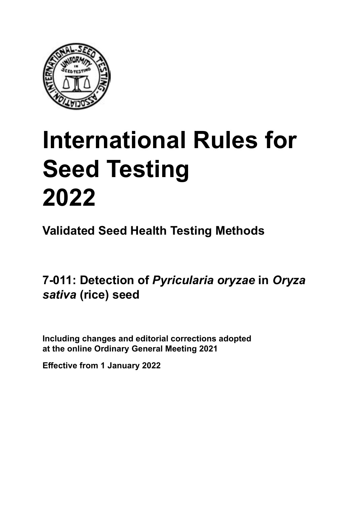

# **International Rules for Seed Testing von Saatgut 2022 2022 Semences 2022 International Rules for Seed Testing 2022**

**Métodos Validados para Análisis de Sanidad de Semillas Validate Méthodes Validées pour Analyse Sanitaire des Semences Validated Seed Health Testing Methods**

7-011: Detection of *Pyricularia oryzae* in *Oryza* **de** *Oryza sativa* **(arroz) von** *Oryza sativa* **(Reis) semences de** *Oryza sativa* **(riz)** *sativa* **(rice) seed**

Including changes and editorial corrections adopted at the online Ordinary General Meeting 2021

**Effective from 1 January 2022**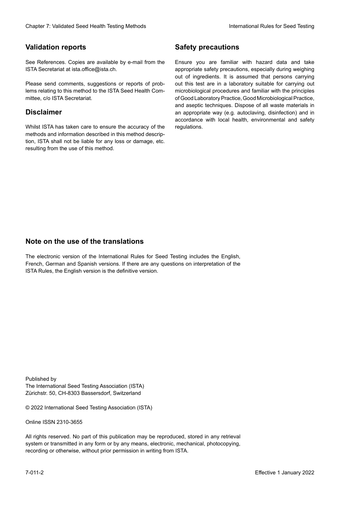## **Validation reports**

See References. Copies are available by e-mail from the<br>ISTA Secretariat at ista.office@ista.ch. ISTA Secretariat at ista.office@ista.ch.

lems relating to this method to the ISTA Seed Health Com-<br>mittee, c/o ISTA Secretariat. mittee, c/o ISTA Secretariat.<br>i Please send comments, suggestions or reports of prob-

## **Limitation de responsabilité Disclaimer**

Whilst ISTA has taken care to ensure the accuracy of the<br>methods and information described in this method description, ISTA shall not be liable for any loss or damage, etc.<br>resulting from the use of this method.<br>. resulting from the use of this method. Whilst ISTA has taken care to ensure the accuracy of the methods and information described in this method descrip-<br>tion, ISTA shall not be liable for any loss or damage, etc. tion, ISTA shall not be liable for any loss or damage, etc.<br>resulting from the use of this method.

## **Medidas de seguridad Sicherheitsmaßnahmen Sécurité Safety precautions**

Ensure you are familiar with hazard data and take Ensure you are familiar with hazard data and take<br>appropriate safety precautions, especially during weighing out of ingredients. It is assumed that persons carrying out this test are in a laboratory suitable for carrying out microbiological procedures and familiar with the principles of Good Laboratory Practice, Good Microbiological Practice, and aseptic techniques. Dispose of all waste materials in an appropriate way (e.g. autoclaving, disinfection) and in accordance with local health, environmental and safety regulations. Glade 7: Validated Deed Health Testing holes by Safety precentions and the Sacrifice of the New York (1991)<br>The Reference Could are analyzed by e-rust form one Summy you are Sanitar edit b hasned date and simular present<br>P microbiological procedures and familiar with the principles<br>of Good Laboratory Practice, Good Microbiological Practice,<br>and aseptic techniques. Dispose of all waste materials in<br>an appropriate way (e.g. autoclaving, disinf fallstoffe sind auf geeignete Weise und entsprechend der vor Ort über und Umwelt-<br>Sicherheits- und Umwelt- und Umwelt-Effective Counter of Nicholas Devel Teach Teach Teach Devel Safety precedutions<br>
Yaristotic energy of Safety precedutions and Safety precedutions of the United Safety precedutions of the United Sementary and Sementary and of Good Laboratory Practice, Good Microbiological Practice,<br>and aseptic techniques. Dispose of all waste materials in<br>an appropriate way (e.g. autoclaving, disinfection) and in Validation reports<br>
Since The Texture 1988 and the methods of the state of the state of the state of the state of the Since Conserved at a substitute of the Since Conserved at a substitute of the Since Conserved at the sta Ensure you are familiar with hazard data and take<br>appropriate safety precautions, especially during weighing<br>out of ingredients. It is assumed that persons carrying<br>out this test are in a laboratory suitable for carrying o

## **Nota sobre el uso de traducciones Anmerkung zur Benutzung der Übersetzungen Note on the use of the translations**

The electronic version of the International Rules for Seed Testing includes the English, French, German and Spanish versions. If there are any questions on interpretation of the ISTA Rules, the English version is the definitive version. The electronic version of the International Rules for Seed Testing includes the English,<br>French, German and Spanish versions. If there are any questions on interpretation of the<br>ISTA Rules, the English version is the defin The electronic version of the International Rules for Seed Testing includes the English,<br>French, German and Spanish versions. If there are any questions on interpretation of the

Published by **Extending Association (ISTA)** The International Seed Testing Association (ISTA) Zürichstr. 50, CH-8303 Bassersdorf, Switzerland

© 2022 International Seed Testing Association (ISTA)

Alle Rechte vorbehalten. Kein Teil dieses Werkes darf in irgendwelcher Form oder durch Online ISSN 2310-3655

All rights reserved. No part of this publication may be reproduced, stored in any retrieval All rights reserved. No part of this publication may be reproduced, stored in any retrieval<br>system or transmitted in any form or by any means, electronic, mechanical, photocopying,<br>recording or otherwise, without prior per recording or otherwise, without prior permis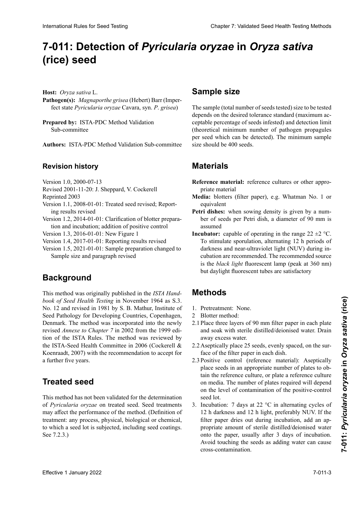# 7-011: Detection of *Pyricularia oryzae* in *Oryza sativa Oryza sativa* **(arroz)** *Oryza sativa***(Reis) (rice) seed**

**Host:** *Oryza sativa* L.

- **Pathogen(s):** Magnaporthe grisea (Hebert) Barr (Imper-<br>fect state *Pyricularia oryzae* Cayara syn *P* grisea) imperfecto *Pyricularia oryzae* Cavara, syn. *P*. *grisea*) fect state *Pyricularia oryzae* Cavara, syn. *P*. *grisea*)
- Prepared by: ISTA-PDC Method Validation Sub-committee Sub-committee

**Autores:** ISTA-PDC Method Validation Sub-committee **Autoren:** ISTA-PDC Method Validation Sub-committee **Authors: ISTA BDC Mathod Validation Sub committed Authors:** ISTA-PDC Method Validation Sub-committee

### **Povision bistory Revisionsstand Historique de la révision Revision history**

- Versión 1.0, 2000-07-13 Version 1.0, 2000-07-13 version 1.0,  $2000 - 07 - 13$
- VEISION 1.0, 2000-07-15<br> $P_1: 12001, 1120$ : J. Sheppard, V. Cocker  $Revisea 2001-1.$ Revised 2001-11-20: J. Sheppard, V. Cockerell
- Reprinted 2003
- $\text{Keprinted } 2003$ Version 1.1, 2008-01-01: Treated seed revised; Reporting results revised
- Version 1.2, 2014-01-01: Clarification of blotter preparation and incubation; addition of positive control

Version 1.3, 2016-01-01: New Figure 1

- Version 1.4, 2017-01-01: Reporting results revised
- Version 1.5, 2021-01-01: Sample preparation changed to Sample size and paragraph revised

# **Background**

This method was originally published in the *ISTA Hand*book of Seed Health Testing in November 1964 as S.3. No. 12 and revised in 1981 by S. B. Mathur, Institute of Seed Pathology for Developing Countries, Copenhagen,<br>Denmark The method was incorporated into the newly Denmark. The method was incorporated into the newly revised *Annexe to Chapter* 7 in 2002 from the 1999 edition of the ISTA Rules. The method was reviewed by the ISTA Seed Health Committee in 2006 (Cockerell & tion of the ISTA Rules. The method was reviewed by the ISTA-Seed Health Committee in 2006 (Cockerell & Koenraadt, 2007) with the recommendation to accept for<br>a further five years. a further five years.  $\alpha$  further into journ. International Rule International Rule International Rule Chapter 7: Validated Seed Health Testing Methods<br> **CritiCal Second<br>
Health Chapter 7: Validated Seed Health Testing Chapter 8: Sample size<br>
Herman Chapter Seconds C** 

# **Treated seed**

Este método no ha sido validado para la determinación de **Behandeltes (gebeiztes) Saatgut Semences traitées** This method has not been validated for the determination *Pyricularia organización* de la semilla de la semilla de la semilla de la semilla de la semilla de la semilla de la semilla de la semilla de la semilla de la semilla de la semilla de la semilla de la semilla de la semilla of Pyricularia oryzae on treated seed. Seed treatments may affect the performance of the method. (Definition of treatment: any process, physical, biological or chemical, to which a seed fot is subjected, including seed coatings. See  $(7.2.3.)$ peutent affecter la performance de la performance de traitement in the value of the process, physical, biological or chemical, to which a seed lot is subjected, including seed coatings. See 7.2.3.) to which a seed lot is subjected, including seed coatings.

# **Sample size**

The sample (total number of seeds tested) size to be tested depends on the desired tolerance standard (maximum acceptable percentage of seeds infested) and detection limit ceptable percentage of seeds infested) and detection limit tadas) y del límite de detección (número mínimo teóri-und der Nachweisgrenze (theoretische Mindestzahl von de la limite de détection (nombre minimum théorique de (theoretical minimum number of pathogen propagules per seed which can be detected). The minimum sample<br>size should be 400 seeds. por secu when can se accesse, The minimum sumpre size show per seed which can be denoted, The Himman sample size should be 400 seeds.

# **Materiales Material MatérielMaterials**

- Reference material: reference cultures or other appropriate material
- Media: blotters (filter paper), e.g. Whatman No. 1 or equivalent
- Petri dishes: when sowing density is given by a number of seeds per Petri dish, a diameter of 90 mm is assumed assumed
- **Incubator:** capable of operating in the range  $22 \pm 2$  °C. **Incubator:** capable of operating in the range  $22 \pm 2$  °C.<br>To stimulate sporulation, alternating 12 h periods of darkness and near-ultraviolet light (NUV) during indarkness and near-ultraviolet light (NUV) during incubation are recommended. The recommended source cubation are recommended. The recommended source<br>is the *black light* fluorescent lamp (peak at 360 nm)<br>but daylight fluorescent tubes are satisfactory but daylight fluorescent tubes are satisfactory To stimulate sporulation, alternating 12 h periods of

#### **Métodos Methoden MéthodesMethods**

- 1. Pretreatment: None.
- 2 Blotter method:
- 2.1 Place three layers of 90 mm filter paper in each plate and soak with sterile distilled/deionised water. Drain away excess water. away excess water.<br>2.2 Aseptically place 25 seeds, evenly spaced, on the sur-
- $\frac{1}{2}$  face of the filter paper in each dish.
- 2.3 Positive control (reference material): Aseptically place seeds in an appropriate number of plates to ob-<br>tain the reference sultane an-alote a n-ference sultane place secus in an appropriate namber or plates to obtain the reference culture, or plate a reference culture place a perception de referencia, o sembrar el cultivo de referencia, o sembrar el cultivo de referencia, o sembrar el cultivo de referencia, el cultivo de referencia, el cultivo de referencia, el cultivo de referencia, el el cultivo de referencia en el medio. El número de places reguliera will depend on the level of contamination of the positive-control  $\mathcal{L}$  declines de semillas de semillas de semillas de semillas de semillas de semillas de semillas de semillas de semillas de semillas de semillas de semillas de semillas de semillas de semillas de semillas de semillas zahl von Petrische verteilen verteilen verteilen verteilt den sollt on media. The number of plates required will depend  $\frac{3.5 \text{ cm}}{2.1 \text{ cm}^2}$ semente répetition de manière assemble au présentant on media. The number of plates required will depend seed lot.
- $3.$  Incubation: 7 days at  $22^\circ$ C in alternating cycles of medoation.  $\frac{1}{2}$  and  $\frac{1}{2}$  control and the control of the set of the set of the control position de control position during  $\frac{1}{2}$  control position de control position de contrôle position de contrôle position 12 n darkness and 12 n ngm, preferably NOV. If the<br>filter paper dries out during incubation, add an appropriate amount of sterile distilled/deionised water propriate amount or sterile distilled/defonised water<br>onto the paper, usually after 3 days of incubation. Avoid touching the seeds as adding water can cause  $\frac{12}{12}$  h Dunkelheit. Wenn die Filterpapier während der während der während der während der während der während der während der während der während der während der während der während der während der während der währe cross-contamination. seed for.<br>3. Incubation: 7 days at 22 °C in alternating cycles of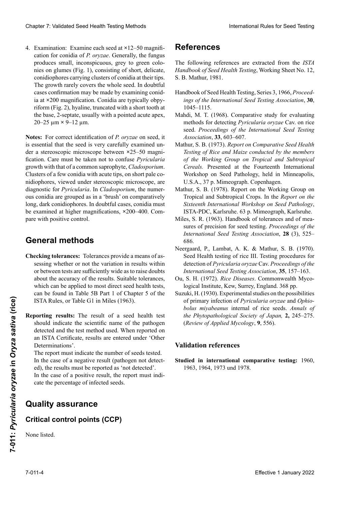4. Examination: Examine each seed at  $\times$ 12–50 magnification for conidia of *P. oryzae*. Generally, the fungus cation for conidia of *P. oryzae*. Generally, the fungus produces small, inconspicuous, grey to green colonies on glumes (Fig. 1), consisting of short, delicate, nies on glumes (Fig. 1), consisting of short, delicate,<br>conidiophores carrying clusters of conidia at their tips.<br>The growth rarely covers the whole seed. In doubtful conidiophores carrying clusters of conidia at their tips. The growth rarely covers the whole seed. In doubtful<br>cases confirmation may be made by examining conid-<br>ia at ×200 magnification. Conidia are typically obpycases confirmation may be made by examining conidia at ×200 magnification. Conidia are typically obpy-<br>riform (Fig. 2) hygline, truncated with a short tooth at riform (Fig. 2), hyaline, truncated with a short tooth at<br>the base. 2-septate, usually with a pointed acute apex the base, 2-septate, usually with a pointed acute apex, mento de 200**×**. Los conidios son típicamente pirifor-mig)(Abb. 2), hyalin, abgestumpft mit einem kurzen les conidies au grossissement **×**200. Les conidies sont 20–25 µm **×** 9–12 µm. mes (Fig. 2), hialinos, truncados con un diente con un diente con un diente con un diente con un diente con un<br>Externe corto en un diente con un diente corto en un diente corto en un diente con un diente corto en un dient typiquement pyriformes (Fig. 2, 3), hyalines, tronquées (Fig. 2, 3), hyalines, tronquées (Fig. 2, 3), hyalines, tronquées (Fig. 2, 3), hyalines, tronquées (Fig. 2, 3), hyalines, tronquées (Fig. 2, 3), hyalines, tronquées (

la base, 2-septados, generalmente con un ápice agudo Zähnchen an der Basis, zweifach septiert, gewöhnlich mit einer scharfen Spitze, 20–25 **<sup>×</sup>** 9–12 µm. is essential that the seed is very carefully examined under a stereoscopic interoscope octween 25 50 magin<br>fication. Care must be taken not to confuse *Pyricularia*  $s_{\text{scatt}}$  semillation and  $s_{\text{scatt}}$  as examined must be examined must be examined must be examined must be examined must growm with that of a common saprophyte,  $cuavsporum$ . Clusters of a few condia with acute tips, on short pale comidiophores, viewed under stereoscopic microscope, are manophores, viewed under stereoscopic microscope, are<br>diagnostic for *Pyricularia*. In *Cladosporium*, the numerous conidia are grouped as in a 'brush' on comparatively long, dark conidiophores. In doubtful cases, conidia must be examined at higher magnifications, ×200–400. Com-<br>pare with positive control. pare with positive control. Clearly 2. Validierte Description (1. Januar 2022) ab 1. Januar 2022) is the control of the same of the same of the same of the same of the same of the same of the same of the same of the same of the same of the same of t der a stereoscopic microscope between **×**25–50 magniremarques Stereomikroskop bei 25- bis 50-facher vergrößen der *P. organisation* correcte de *P. organisation* correcte de *P. organisation* correcte de *P. organisation* correcte de *P. organisation* correcte de *P. organi* Chaos 7 Voldated Seat Health Toring Mathos 1<br>
4. Example, the members of the control of the control of the control of the control of the control of the control of the control of the control of the control of the control o **Notes:** For correct identification of *P. oryzae* on seed, it is assembled that the seed is very extremited un growth with that of a common saprophyte, *Cladosporium*.

### deben ser examinados a mayores aumentos, 200–400**×**. Se **General methods** die Konidien bei einer 200- bis 400-fachenVergrößerung zu untersuchen. Mit Positivkontrolle vergleichen.

- sessing whether or not the variation in results within about the accuracy of the results. Suitable tolerances,<br>which can be applied to most direct seed health tests,<br>can be found in Table 5B Part 1 of Chapter 5 of the which can be applied to most direct seed health tests, which can be applied to most direct seed health tests,<br>can be found in Table 5B Part 1 of Chapter 5 of the ISTA Rules, or Table G1 in Miles (1963). **Checking tolerances:** Tolerances provide a means of asor between tests are sufficiently wide as to raise doubts
- Reporting results: The result of a seed health test should indicate the scientific name of the pathogen<br>detected and the test method used. When renorted on detected and the test method used. When reported on an ISTA Certificate, results are entered under 'Other Determinations'. should indicate the scientific name of the pathogen<br>detected and the test method used. When reported on<br>an ISTA Certificate, results are entered under 'Other Effective 1 January incerion of *Pyricularia oryzac* and *Ophio*<br> **Effective 1 Alternative 1963.** In the *Orean parameteric of the phytopahological Society of Japan, 2, 245-275.*<br> **Reporting results:** The result of a seed detected and the test method used. When reported on

The report must indicate the number of seeds tested. In the case of a negative result (pathogen not detect-<br>ed), the results must be reported as 'not detected'. ed), the results must be reported as 'not detected'. ed), the results must be reported as not detected.<br>In the case of a positive result, the report must indi-

dos de bajo de bajo de bajo de de deservados bajos de terminaciones de deservados de terminaciones de terminaciones care the percentage of infected secus.  $\frac{1}{2}$  in the case of a positive result, the report mas der in percentage of interted secus. m in case of a positive result, in cate the percentage of infected seeds.

#### $\Omega$ uality esquiranos tectus dos resultados de ben ser informados de ben ser informados como entre electron de ben ser informados co<br>Entre electron de ben ser informados como electron de la como de la como de la como de la como de la como de l Im Falle eines negativen Ergebnisses (Krankheitser-té), les résultats doivent être rapportés comme « non **Quality assurance**

#### detectado'.  $C$ nical control politis ( $C$ r) reger nicht nicht nach die Ergebnisse als "nicht nach die Ergebnisse als "nicht nach nach gewiesen" berichtet <br>"Die Ergebnisse als "nicht nach die Ergebnissen" berichtet werden. Die Ergebnissen als die Ergebnissen werden.  $m$  Falle eines positive (Pr $\epsilon$ ) Dans le cas d'un résultat positif, le rapport doit indi-Critical control points (CCP)

indicar el porcentaje de semillas infectadas richt den Prozentsatz infizierter Samen angeben. None listed.

# **Aseguramiento de calidad Qualitätssicherung Assurance qualité References**

The following references are extracted from the *ISTA* S. B. Mathur, 1981. *Handbook of Seed Health Testing*, Working Sheet No. 12,

- **References** *References <b>C include 1 containst 1 contains 3, 1980, 1980, 1980, 1980, 1980, 1980, 1980, 1980, 1980, 1980, 1980, 1980, 1980, 1980, 1980, 1980, 1980, 1980, 1980, 1980, 1980, 1980, 1980, 1980, 1980, 1980, 19* Handbook of Seed Health Testing, Series 3, 1966, *Proceed-*1045–1115.
- Mahdi, M. T. (1968). Comparative study for evaluating methods for detecting *Pyricularia oryzae* Cav. on rice seed. *Proceedings of the International Seed Testing Association*, **33**, 603–607.
- Handbook of Seed Health Testing, Series 3, 1966, *Proceed-*Mathur, S. B. (1973). *Report on Comparative Seed Health ings of the International Seed Testing Association*, **30**, *Testing of Rice and Maize conducted by the members of the Working Group on Tropical and Subtropical of the Working Group on Tropical and Subtropical Greals.* Presented at the Fourteenth International methods for detecting *Pyricularia oryzae* Cav. on rice Workshop on Seed Pathology, held in Minneapolis, U.S.A., 37 p. Mimeograph. Copenhagen.
- Mathur, S. B. (1978). Report on the Working Group on *Testing of Rice and Maize conducted by the members*  Tropical and Subtropical Crops. In the *Report on the of the Working Group on Tropical and Subtropical Sixteenth International Workshop on Seed Pathology*, ISTA-PDC, Karlsruhe. 63 p. Mimeograph, Karlsruhe.
- Miles, S. R. (1963). Handbook of tolerances and of measures of precision for seed testing. Proceedings of the *International Seed Testing Association*, 28 (3), 525– Tropical and Subtropical Crops. In the *Report on the*  686.
- *Sixteenth International Workshop on Seed Pathology*, Neergaard, P., Lambat, A. K. & Mathur, S. B. (1970). Seed Health testing of rice III. Testing procedures for detection of *Pyricularia oryzae* Cav. *Proceedings of the* sures of precision for seed testing. *Proceedings of the International Seed Testing Association*, **35**, 157–163.
- Ou, S. H. (1972). *Rice Diseases*. Commonwealth Mycological Institute, Kew, Surrey, England. 368 pp.
- Suzuki, H. (1930). Experimental studies on the possibilities of primary infection of *Pyricularia oryzae* and *Ophio*bolus miyabeanus internal of rice seeds. Annals of *International Seed Testing Association*, **35**, 157–163. *the Phytopathological Society of Japan,* **2,** 245–275. (*Review of Applied Mycology*, 9, 556).  $\mathcal{L}$  Institute, Kew, Surrey, England. 368 pp. 368 pp. 368 pp. 368 pp. 368 pp. 368 pp. 368 pp. 368 pp. 368 pp. 368 pp. 368 pp. 368 pp. 368 pp. 368 pp. 368 pp. 368 pp. 368 pp. 368 pp. 368 pp. 368 pp. 368 pp. 368 pp. 368

### of primary infection of *Pyricularia oryzae* and *Ophio-***Validation references** *bolus miyabeanus* internal of rice seeds. *Annals of*

*the Phytopathological Society of Japan,* **2,** 245–275. **Studied in international comparative testing:** 1960, (*Review of Applied Mycology*, **9**, 556). 1963, 1964, 1973 und 1978.